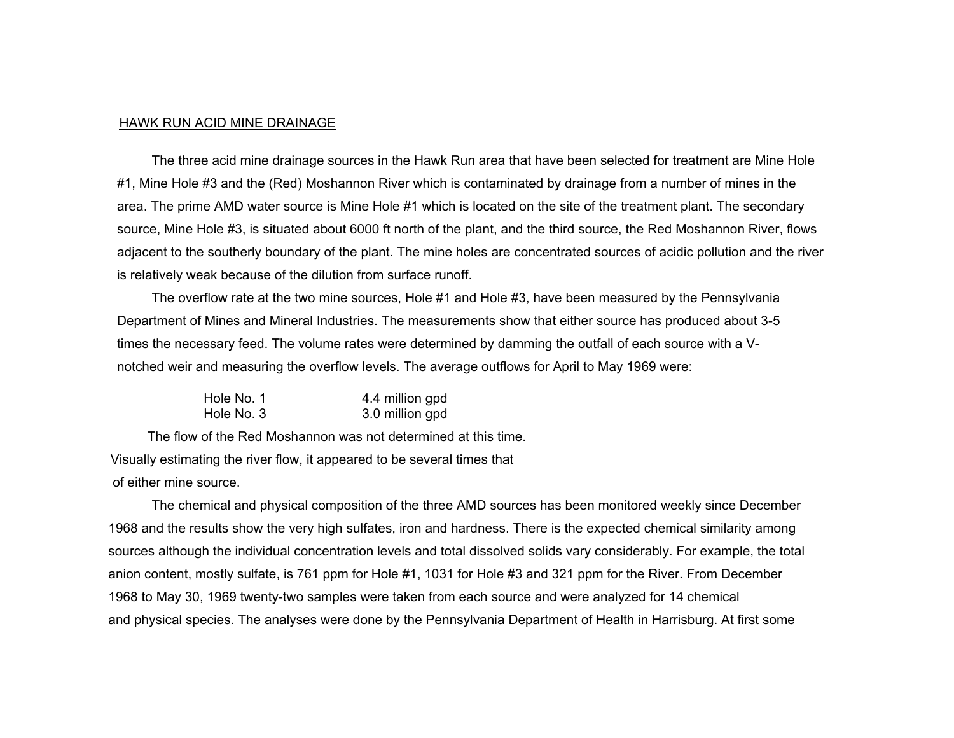#### HAWK RUN ACID MINE DRAINAGE

The three acid mine drainage sources in the Hawk Run area that have been selected for treatment are Mine Hole #1, Mine Hole #3 and the (Red) Moshannon River which is contaminated by drainage from a number of mines in the area. The prime AMD water source is Mine Hole #1 which is located on the site of the treatment plant. The secondary source, Mine Hole #3, is situated about 6000 ft north of the plant, and the third source, the Red Moshannon River, flows adjacent to the southerly boundary of the plant. The mine holes are concentrated sources of acidic pollution and the river is relatively weak because of the dilution from surface runoff.

The overflow rate at the two mine sources, Hole #1 and Hole #3, have been measured by the Pennsylvania Department of Mines and Mineral Industries. The measurements show that either source has produced about 3-5 times the necessary feed. The volume rates were determined by damming the outfall of each source with a Vnotched weir and measuring the overflow levels. The average outflows for April to May 1969 were:

| Hole No. 1 | 4.4 million gpd |
|------------|-----------------|
| Hole No. 3 | 3.0 million gpd |

The flow of the Red Moshannon was not determined at this time. Visually estimating the river flow, it appeared to be several times that of either mine source.

 The chemical and physical composition of the three AMD sources has been monitored weekly since December 1968 and the results show the very high sulfates, iron and hardness. There is the expected chemical similarity among sources although the individual concentration levels and total dissolved solids vary considerably. For example, the total anion content, mostly sulfate, is 761 ppm for Hole #1, 1031 for Hole #3 and 321 ppm for the River. From December 1968 to May 30, 1969 twenty-two samples were taken from each source and were analyzed for 14 chemical and physical species. The analyses were done by the Pennsylvania Department of Health in Harrisburg. At first some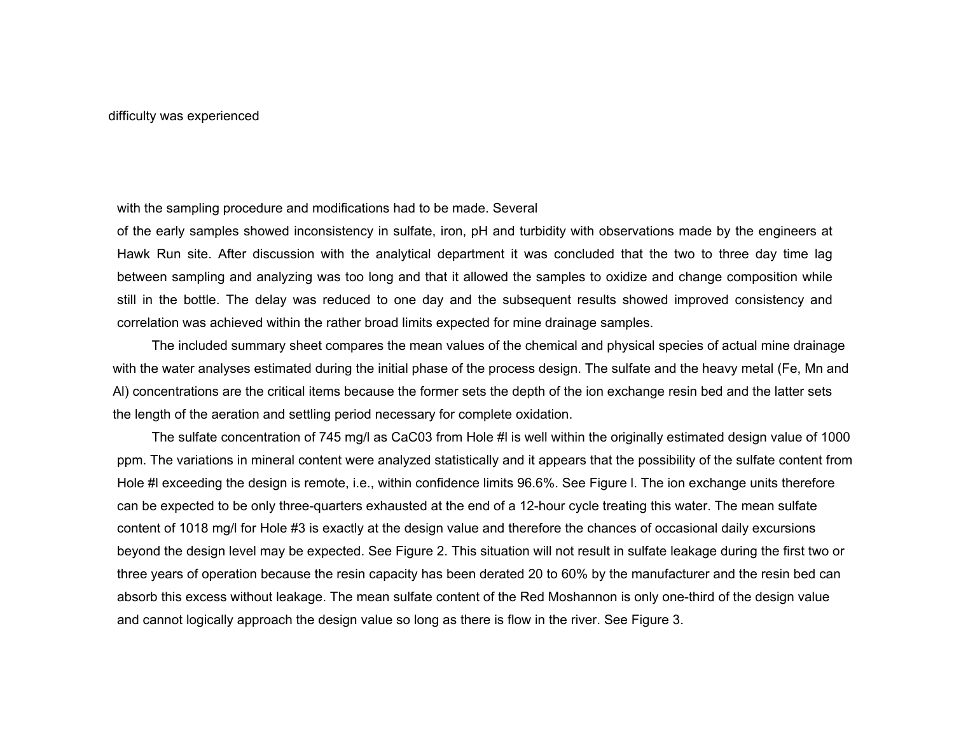### with the sampling procedure and modifications had to be made. Several

of the early samples showed inconsistency in sulfate, iron, pH and turbidity with observations made by the engineers at Hawk Run site. After discussion with the analytical department it was concluded that the two to three day time lag between sampling and analyzing was too long and that it allowed the samples to oxidize and change composition while still in the bottle. The delay was reduced to one day and the subsequent results showed improved consistency and correlation was achieved within the rather broad limits expected for mine drainage samples.

The included summary sheet compares the mean values of the chemical and physical species of actual mine drainage with the water analyses estimated during the initial phase of the process design. The sulfate and the heavy metal (Fe, Mn and Al) concentrations are the critical items because the former sets the depth of the ion exchange resin bed and the latter sets the length of the aeration and settling period necessary for complete oxidation.

The sulfate concentration of 745 mg/l as CaC03 from Hole #I is well within the originally estimated design value of 1000 ppm. The variations in mineral content were analyzed statistically and it appears that the possibility of the sulfate content from Hole #l exceeding the design is remote, i.e., within confidence limits 96.6%. See Figure l. The ion exchange units therefore can be expected to be only three-quarters exhausted at the end of a 12-hour cycle treating this water. The mean sulfate content of 1018 mg/l for Hole #3 is exactly at the design value and therefore the chances of occasional daily excursions beyond the design level may be expected. See Figure 2. This situation will not result in sulfate leakage during the first two or three years of operation because the resin capacity has been derated 20 to 60% by the manufacturer and the resin bed can absorb this excess without leakage. The mean sulfate content of the Red Moshannon is only one-third of the design value and cannot logically approach the design value so long as there is flow in the river. See Figure 3.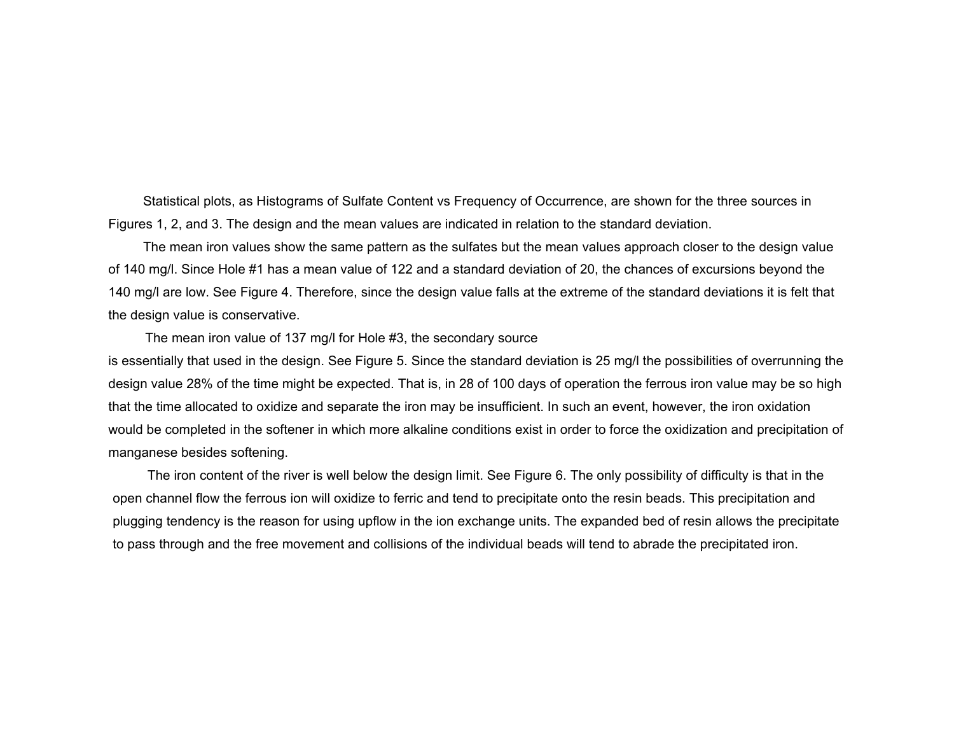Statistical plots, as Histograms of Sulfate Content vs Frequency of Occurrence, are shown for the three sources in Figures 1, 2, and 3. The design and the mean values are indicated in relation to the standard deviation.

The mean iron values show the same pattern as the sulfates but the mean values approach closer to the design value of 140 mg/l. Since Hole #1 has a mean value of 122 and a standard deviation of 20, the chances of excursions beyond the 140 mg/l are low. See Figure 4. Therefore, since the design value falls at the extreme of the standard deviations it is felt that the design value is conservative.

The mean iron value of 137 mg/l for Hole #3, the secondary source

is essentially that used in the design. See Figure 5. Since the standard deviation is 25 mg/l the possibilities of overrunning the design value 28% of the time might be expected. That is, in 28 of 100 days of operation the ferrous iron value may be so high that the time allocated to oxidize and separate the iron may be insufficient. In such an event, however, the iron oxidation would be completed in the softener in which more alkaline conditions exist in order to force the oxidization and precipitation of manganese besides softening.

The iron content of the river is well below the design limit. See Figure 6. The only possibility of difficulty is that in the open channel flow the ferrous ion will oxidize to ferric and tend to precipitate onto the resin beads. This precipitation and plugging tendency is the reason for using upflow in the ion exchange units. The expanded bed of resin allows the precipitate to pass through and the free movement and collisions of the individual beads will tend to abrade the precipitated iron.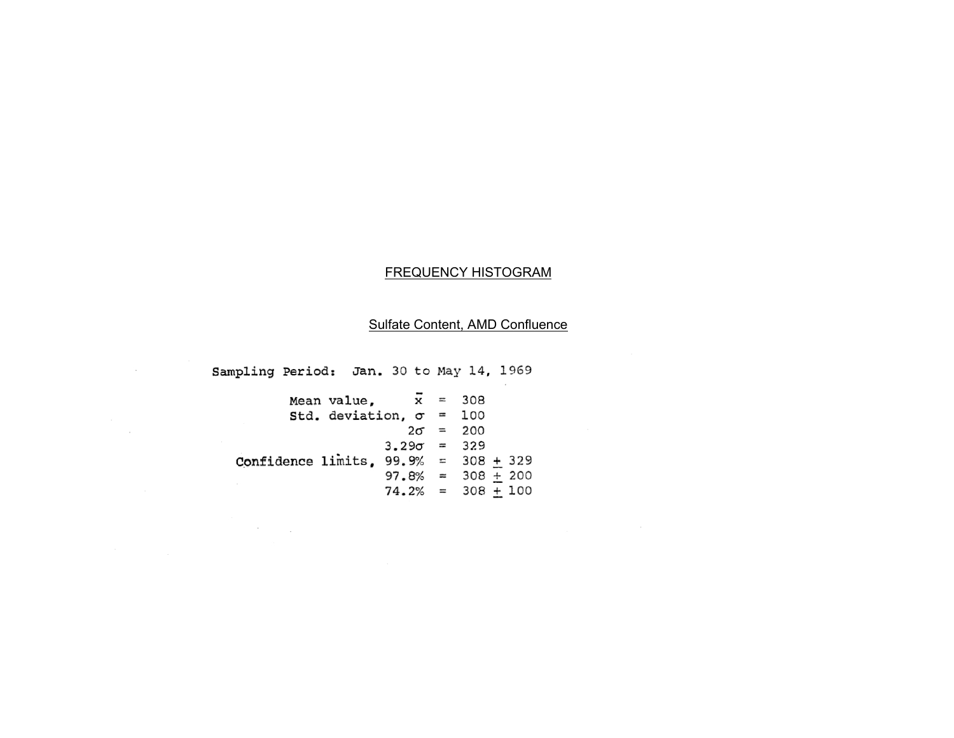#### FREQUENCY HISTOGRAM

# Sulfate Content, AMD Confluence

Sampling Period: Jan. 30 to May 14, 1969

 $\sim$ 

 $\sim 100$ 

| Mean value. $\bar{x} = 308$            |                      |                 |  |
|----------------------------------------|----------------------|-----------------|--|
| Std. deviation, $\sigma = 100$         |                      |                 |  |
|                                        |                      | $2\sigma = 200$ |  |
|                                        | $3.29\sigma = 329$   |                 |  |
| Confidence limits, $99.9% = 308 + 329$ |                      |                 |  |
|                                        | $97.8\% = 308 + 200$ |                 |  |
|                                        | $74.2\% = 308 + 100$ |                 |  |

 $\label{eq:2.1} \frac{1}{\sqrt{2\pi}}\frac{1}{\sqrt{2\pi}}\frac{1}{\sqrt{2\pi}}\frac{1}{\sqrt{2\pi}}\frac{1}{\sqrt{2\pi}}\frac{1}{\sqrt{2\pi}}\frac{1}{\sqrt{2\pi}}\frac{1}{\sqrt{2\pi}}\frac{1}{\sqrt{2\pi}}\frac{1}{\sqrt{2\pi}}\frac{1}{\sqrt{2\pi}}\frac{1}{\sqrt{2\pi}}\frac{1}{\sqrt{2\pi}}\frac{1}{\sqrt{2\pi}}\frac{1}{\sqrt{2\pi}}\frac{1}{\sqrt{2\pi}}\frac{1}{\sqrt{2\pi}}\frac{1}{\sqrt$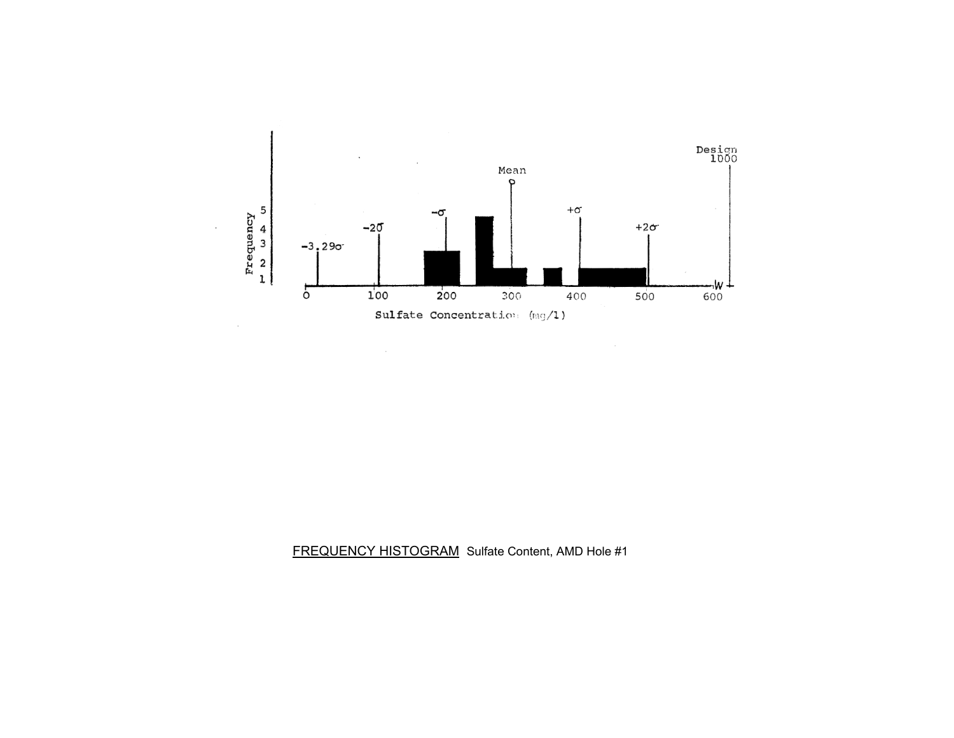

 $\sim$ 

FREQUENCY HISTOGRAM Sulfate Content, AMD Hole #1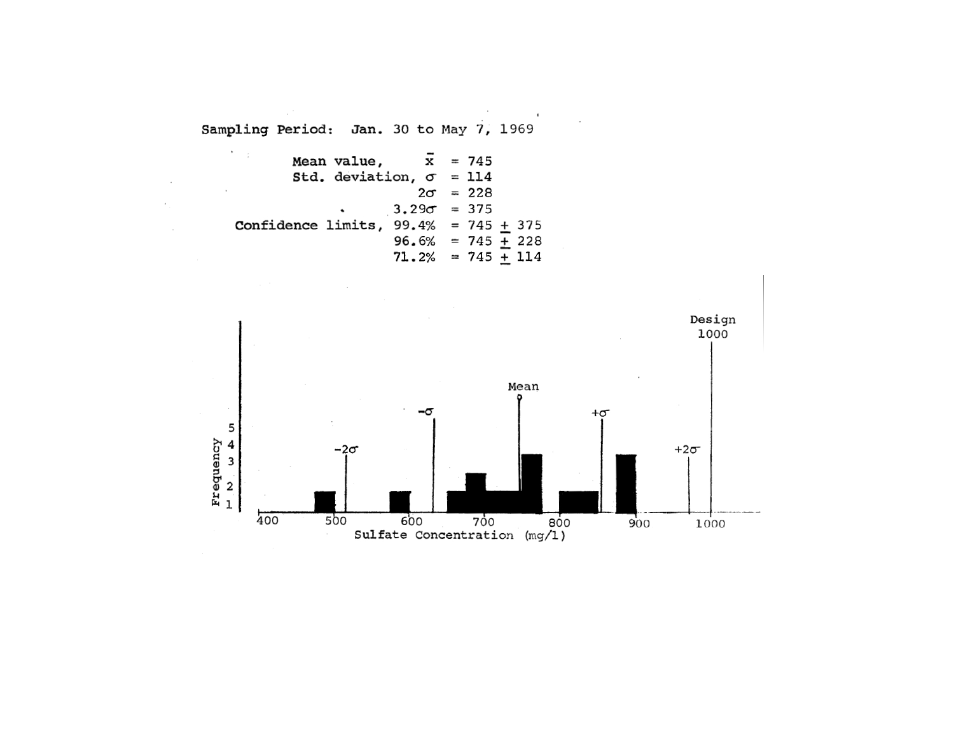Mean value, 
$$
\bar{x} = 745
$$
  
\nStd. deviation,  $\sigma = 114$   
\n $2\sigma = 228$   
\n $3.29\sigma = 375$   
\nConfidence limits, 99.4% = 745 + 375  
\n96.6% = 745 + 228  
\n71.2% = 745 + 114

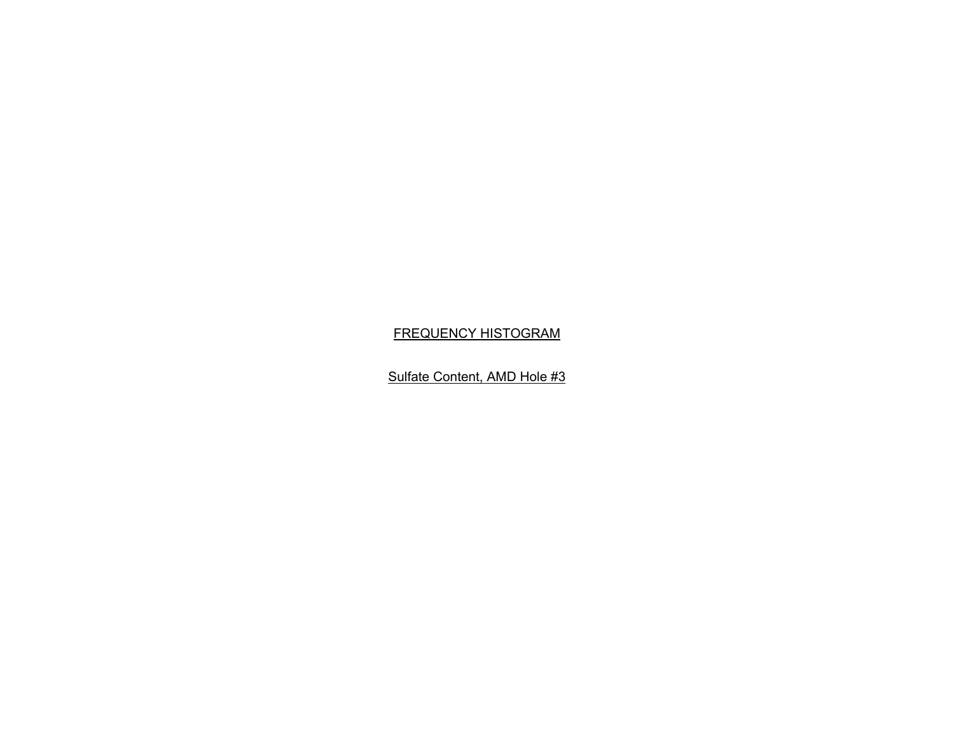## FREQUENCY HISTOGRAM

Sulfate Content, AMD Hole #3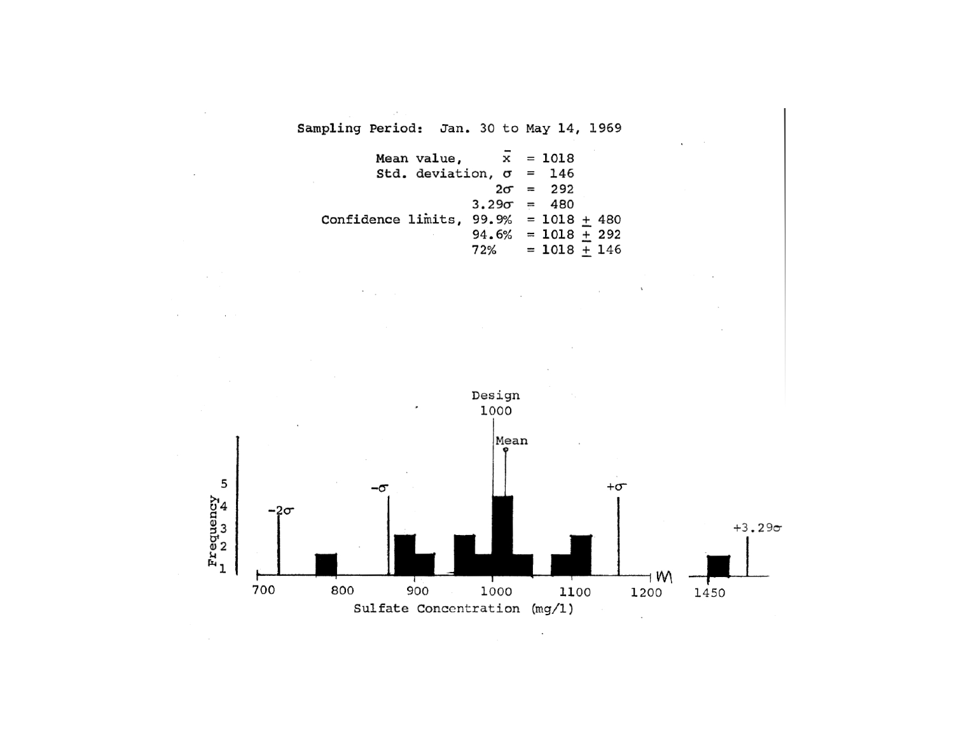$\sim$ 

Mean value, 
$$
\bar{x} = 1018
$$
  
\nStd. deviation,  $\sigma = 146$   
\n $2\sigma = 292$   
\n $3.29\sigma = 480$   
\nConfidence limits, 99.9% = 1018  $\pm$  480  
\n $94.6\% = 1018 \pm 292$   
\n $72\% = 1018 \pm 146$ 



¥,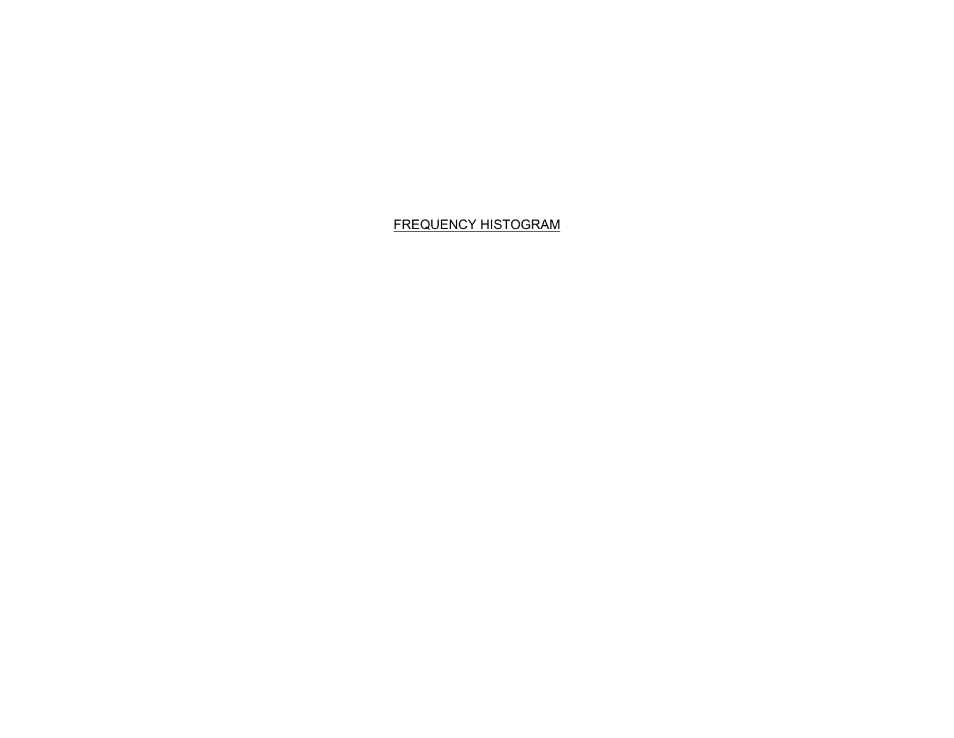# FREQUENCY HISTOGRAM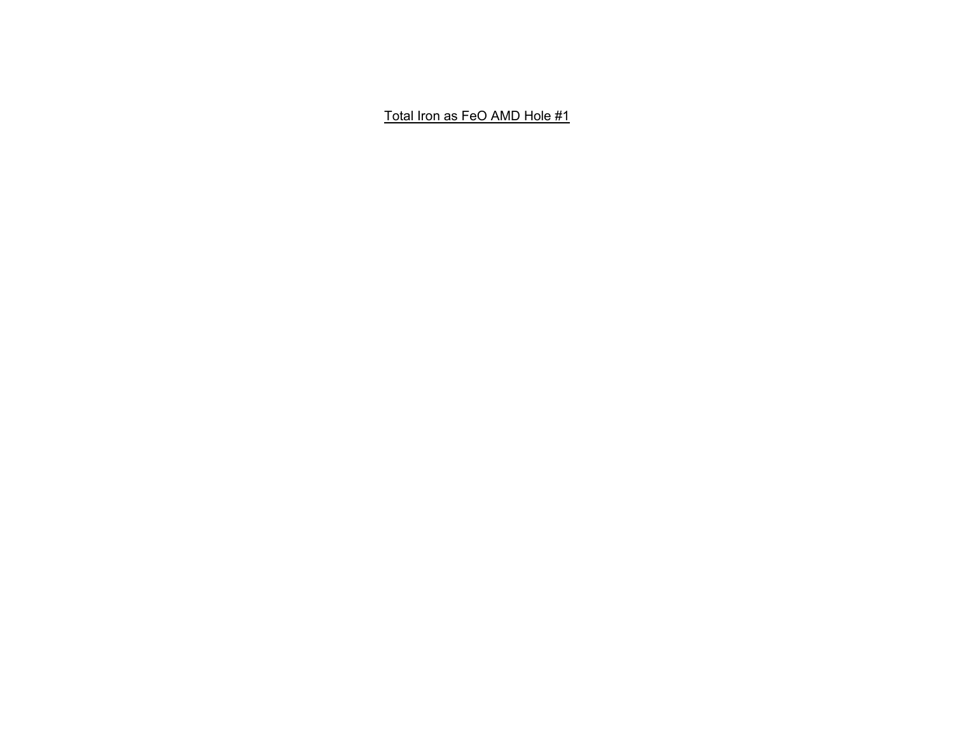Total Iron as FeO AMD Hole #1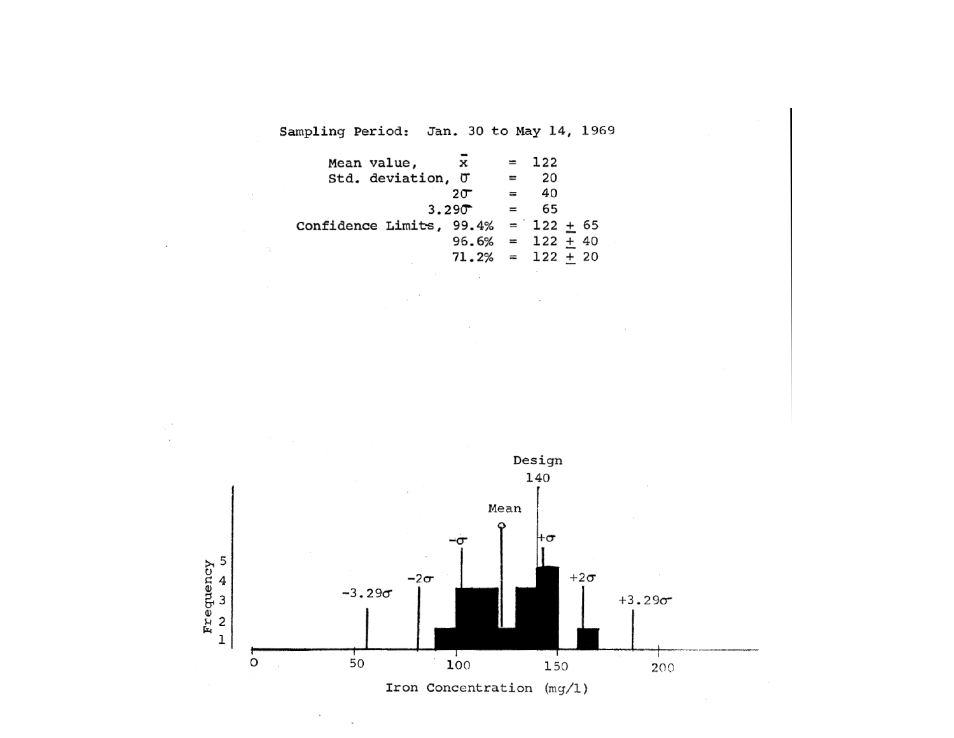| x                 |     |     |                     |                                                                                      |
|-------------------|-----|-----|---------------------|--------------------------------------------------------------------------------------|
| Std. deviation, U | $=$ | 20  |                     |                                                                                      |
| $20^-$            |     | 40  |                     |                                                                                      |
| 3.290             |     | 65  |                     |                                                                                      |
|                   |     |     |                     |                                                                                      |
|                   |     |     |                     |                                                                                      |
|                   |     |     |                     |                                                                                      |
|                   |     | $=$ | $= 122$<br>$\equiv$ | Confidence Limits, $99.4\% = 122 + 65$<br>$96.6\% = 122 + 40$<br>$71.2\% = 122 + 20$ |



×,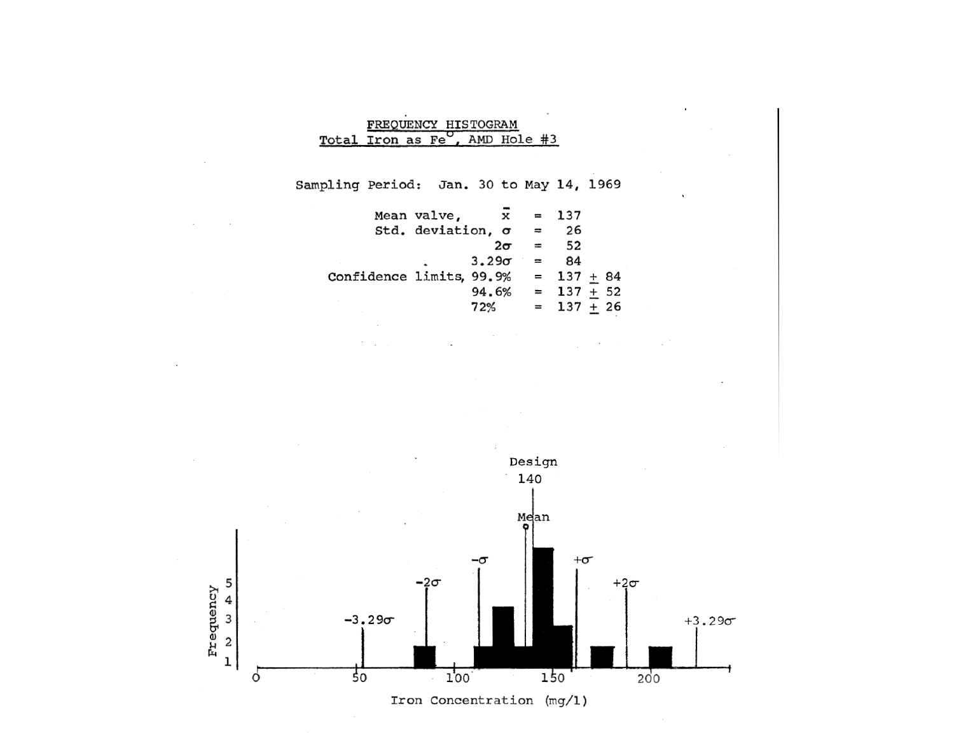|                                             | FREQUENCY HISTOGRAM |  |  |  |  |
|---------------------------------------------|---------------------|--|--|--|--|
| Total Iron as Fe <sup>O</sup> , AMD Hole #3 |                     |  |  |  |  |

|                          | Mean valve,       |              | x         |     | $= 137$      |  |
|--------------------------|-------------------|--------------|-----------|-----|--------------|--|
|                          | Std. deviation, o |              |           | $=$ | 26           |  |
|                          |                   |              | $2\sigma$ | $=$ | 52           |  |
|                          |                   | $3.29\sigma$ |           |     | 84           |  |
| Confidence limits, 99.9% |                   |              |           |     | $= 137 + 84$ |  |
|                          |                   |              | 94.6%     |     | $= 137 + 52$ |  |
|                          |                   | 72%          |           |     | $= 137 + 26$ |  |

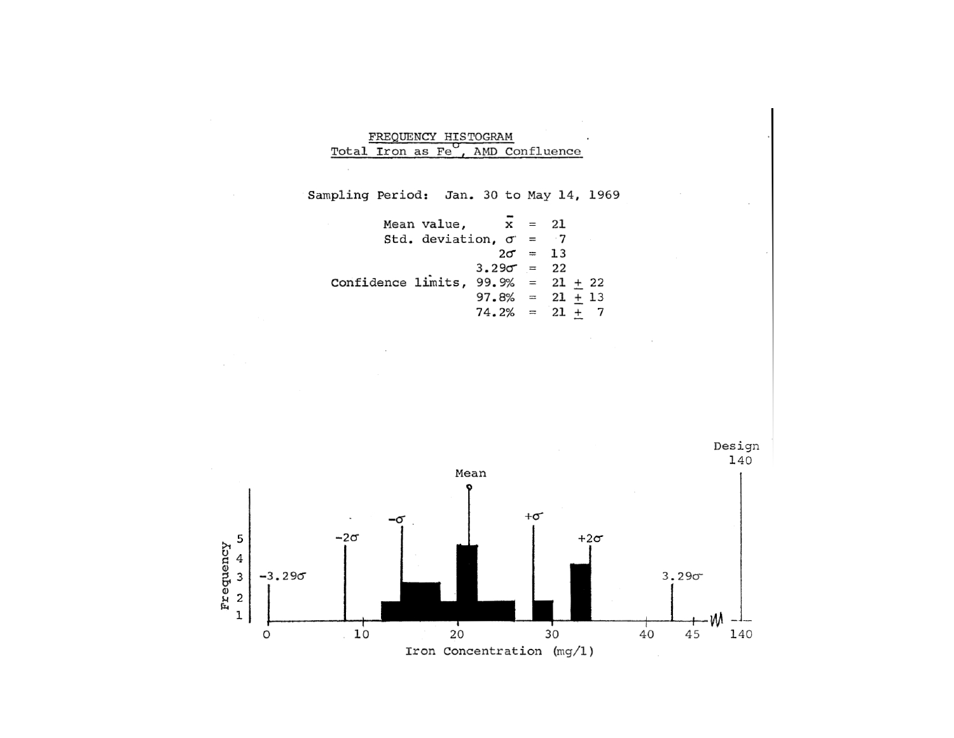| FREOUENCY HISTOGRAM |  |                                  |  |
|---------------------|--|----------------------------------|--|
|                     |  | Total Iron as Fe, AMD Confluence |  |

|                                      | Mean value, $x = 21$         |                    |  |  |
|--------------------------------------|------------------------------|--------------------|--|--|
|                                      | Std. deviation, $\sigma = 7$ |                    |  |  |
|                                      |                              | $2\sigma = 13$     |  |  |
|                                      |                              | $3.29\sigma = 22$  |  |  |
| Confidence limits, $99.9% = 21 + 22$ |                              |                    |  |  |
|                                      |                              | $97.8\% = 21 + 13$ |  |  |
|                                      |                              | $74.2\% = 21 + 7$  |  |  |